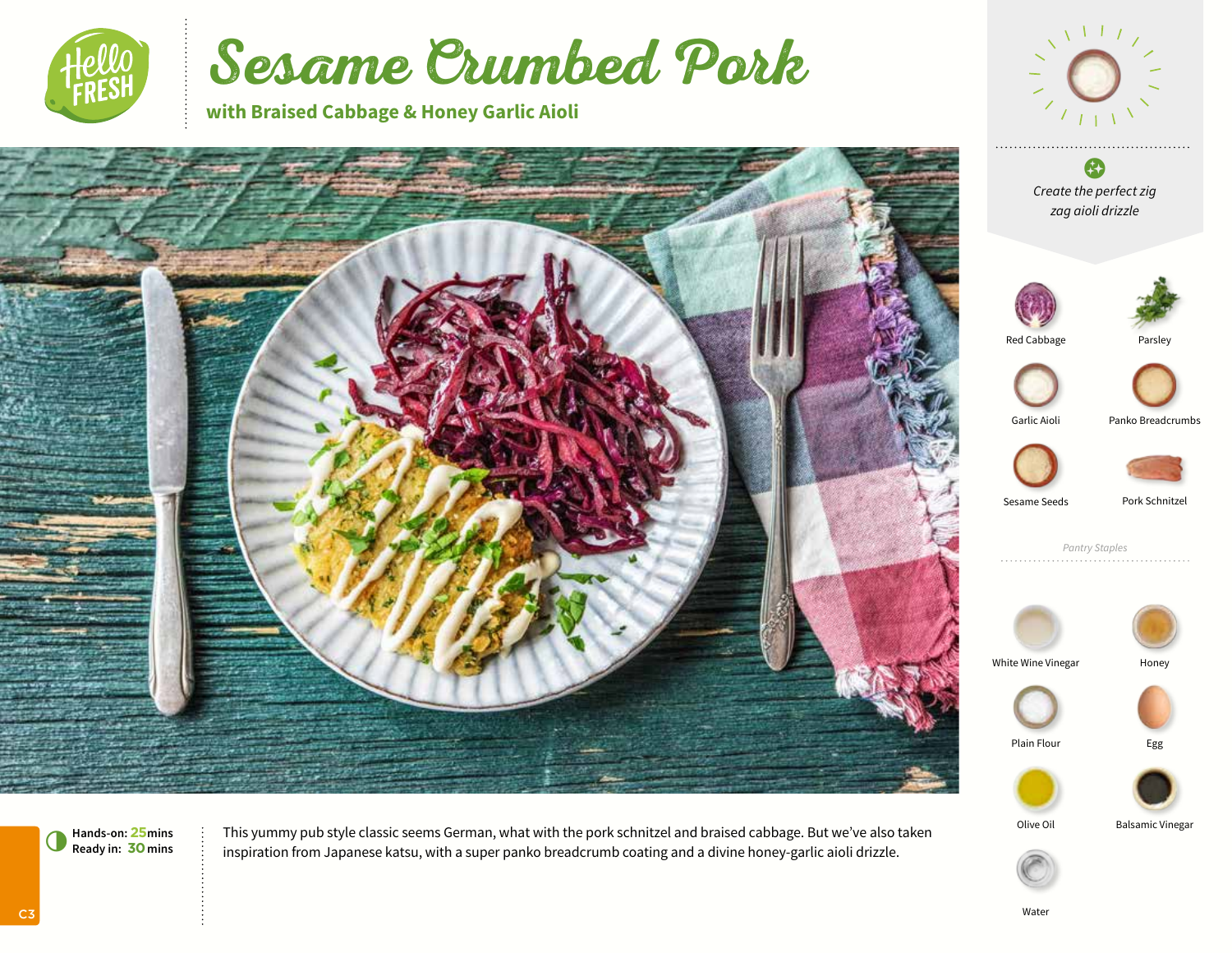

# Sesame Crumbed Pork

**with Braised Cabbage & Honey Garlic Aioli**





Plain Flour **Egg** 



Hands-on: 25 mins : This yummy pub style classic seems German, what with the pork schnitzel and braised cabbage. But we've also taken <sup>Olive Oil Balsamic Vinegar Balsamic Vinegar<br>Ready in: **30** mins : inspiration from Japa</sup> inspiration from Japanese katsu, with a super panko breadcrumb coating and a divine honey-garlic aioli drizzle.

C3

Water